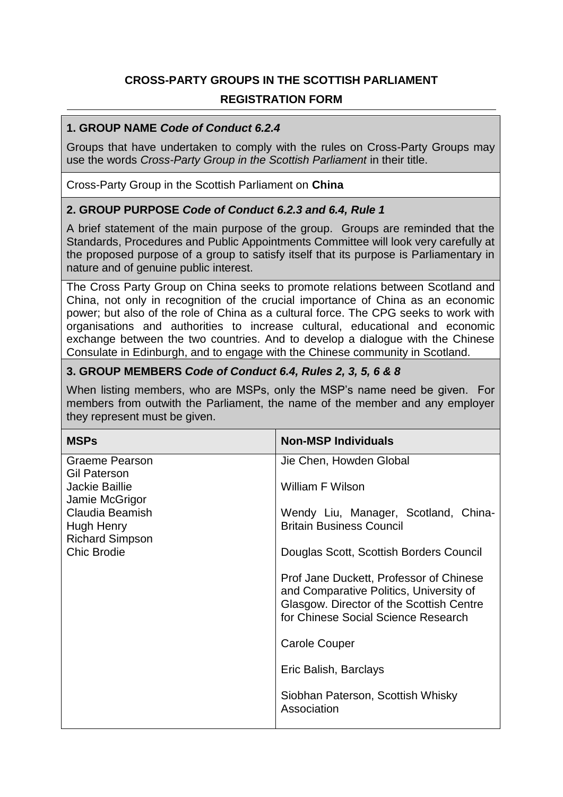## **CROSS-PARTY GROUPS IN THE SCOTTISH PARLIAMENT REGISTRATION FORM**

## **1. GROUP NAME** *Code of Conduct 6.2.4*

Groups that have undertaken to comply with the rules on Cross-Party Groups may use the words *Cross-Party Group in the Scottish Parliament* in their title.

Cross-Party Group in the Scottish Parliament on **China**

## **2. GROUP PURPOSE** *Code of Conduct 6.2.3 and 6.4, Rule 1*

A brief statement of the main purpose of the group. Groups are reminded that the Standards, Procedures and Public Appointments Committee will look very carefully at the proposed purpose of a group to satisfy itself that its purpose is Parliamentary in nature and of genuine public interest.

The Cross Party Group on China seeks to promote relations between Scotland and China, not only in recognition of the crucial importance of China as an economic power; but also of the role of China as a cultural force. The CPG seeks to work with organisations and authorities to increase cultural, educational and economic exchange between the two countries. And to develop a dialogue with the Chinese Consulate in Edinburgh, and to engage with the Chinese community in Scotland.

## **3. GROUP MEMBERS** *Code of Conduct 6.4, Rules 2, 3, 5, 6 & 8*

When listing members, who are MSPs, only the MSP's name need be given. For members from outwith the Parliament, the name of the member and any employer they represent must be given.

| <b>MSPs</b>                                                                                     | <b>Non-MSP Individuals</b>                                                                                                                                            |
|-------------------------------------------------------------------------------------------------|-----------------------------------------------------------------------------------------------------------------------------------------------------------------------|
| <b>Graeme Pearson</b><br><b>Gil Paterson</b>                                                    | Jie Chen, Howden Global                                                                                                                                               |
| Jackie Baillie                                                                                  | William F Wilson                                                                                                                                                      |
| Jamie McGrigor<br>Claudia Beamish<br>Hugh Henry<br><b>Richard Simpson</b><br><b>Chic Brodie</b> | Wendy Liu, Manager, Scotland, China-<br><b>Britain Business Council</b>                                                                                               |
|                                                                                                 | Douglas Scott, Scottish Borders Council                                                                                                                               |
|                                                                                                 | Prof Jane Duckett, Professor of Chinese<br>and Comparative Politics, University of<br>Glasgow. Director of the Scottish Centre<br>for Chinese Social Science Research |
|                                                                                                 | <b>Carole Couper</b>                                                                                                                                                  |
|                                                                                                 | Eric Balish, Barclays                                                                                                                                                 |
|                                                                                                 | Siobhan Paterson, Scottish Whisky<br>Association                                                                                                                      |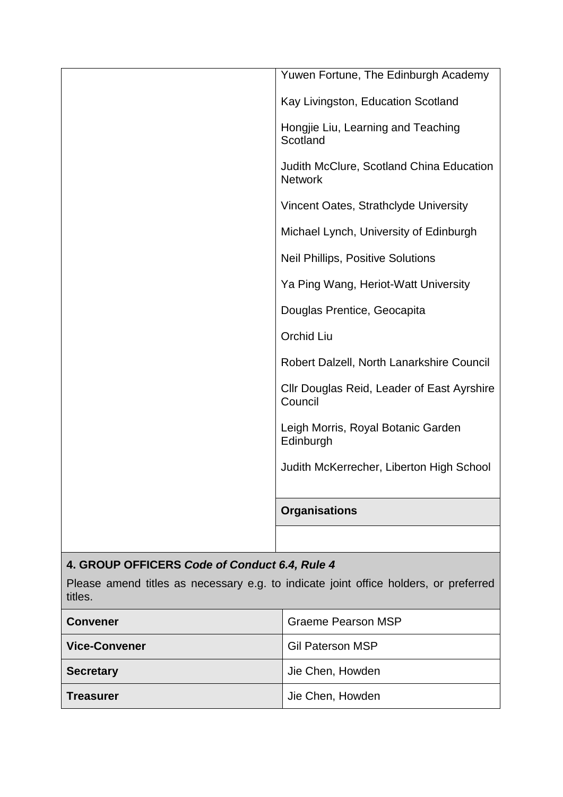| Yuwen Fortune, The Edinburgh Academy                       |
|------------------------------------------------------------|
| Kay Livingston, Education Scotland                         |
| Hongjie Liu, Learning and Teaching<br>Scotland             |
| Judith McClure, Scotland China Education<br><b>Network</b> |
| Vincent Oates, Strathclyde University                      |
| Michael Lynch, University of Edinburgh                     |
| <b>Neil Phillips, Positive Solutions</b>                   |
| Ya Ping Wang, Heriot-Watt University                       |
| Douglas Prentice, Geocapita                                |
| Orchid Liu                                                 |
| Robert Dalzell, North Lanarkshire Council                  |
| Cllr Douglas Reid, Leader of East Ayrshire<br>Council      |
| Leigh Morris, Royal Botanic Garden<br>Edinburgh            |
| Judith McKerrecher, Liberton High School                   |
|                                                            |
| <b>Organisations</b>                                       |
|                                                            |

# **4. GROUP OFFICERS** *Code of Conduct 6.4, Rule 4*

Please amend titles as necessary e.g. to indicate joint office holders, or preferred titles.

| <b>Convener</b>      | <b>Graeme Pearson MSP</b> |
|----------------------|---------------------------|
| <b>Vice-Convener</b> | <b>Gil Paterson MSP</b>   |
| <b>Secretary</b>     | Jie Chen, Howden          |
| <b>Treasurer</b>     | Jie Chen, Howden          |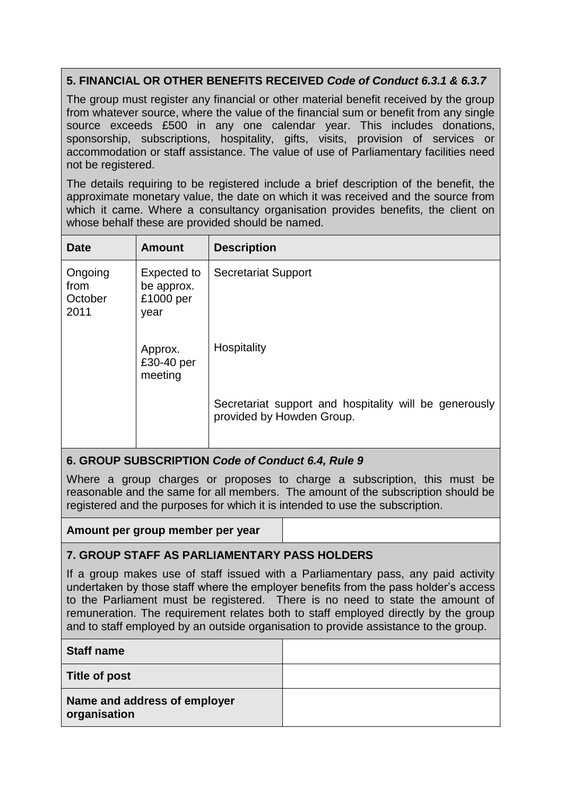## **5. FINANCIAL OR OTHER BENEFITS RECEIVED** *Code of Conduct 6.3.1 & 6.3.7*

The group must register any financial or other material benefit received by the group from whatever source, where the value of the financial sum or benefit from any single source exceeds £500 in any one calendar year. This includes donations, sponsorship, subscriptions, hospitality, gifts, visits, provision of services or accommodation or staff assistance. The value of use of Parliamentary facilities need not be registered.

The details requiring to be registered include a brief description of the benefit, the approximate monetary value, the date on which it was received and the source from which it came. Where a consultancy organisation provides benefits, the client on whose behalf these are provided should be named.

| <b>Date</b>                        | <b>Amount</b>                                  | <b>Description</b>                                                                  |
|------------------------------------|------------------------------------------------|-------------------------------------------------------------------------------------|
| Ongoing<br>from<br>October<br>2011 | Expected to<br>be approx.<br>£1000 per<br>year | <b>Secretariat Support</b>                                                          |
|                                    | Approx.<br>£30-40 per<br>meeting               | Hospitality                                                                         |
|                                    |                                                | Secretariat support and hospitality will be generously<br>provided by Howden Group. |

## **6. GROUP SUBSCRIPTION** *Code of Conduct 6.4, Rule 9*

Where a group charges or proposes to charge a subscription, this must be reasonable and the same for all members. The amount of the subscription should be registered and the purposes for which it is intended to use the subscription.

#### **Amount per group member per year**

## **7. GROUP STAFF AS PARLIAMENTARY PASS HOLDERS**

If a group makes use of staff issued with a Parliamentary pass, any paid activity undertaken by those staff where the employer benefits from the pass holder's access to the Parliament must be registered. There is no need to state the amount of remuneration. The requirement relates both to staff employed directly by the group and to staff employed by an outside organisation to provide assistance to the group.

| <b>Staff name</b>                            |  |
|----------------------------------------------|--|
| Title of post                                |  |
| Name and address of employer<br>organisation |  |